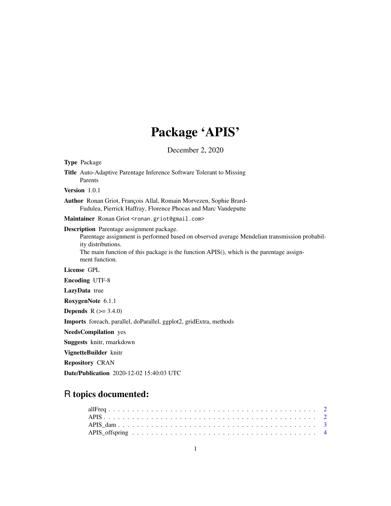# Package 'APIS'

December 2, 2020

| <b>Type Package</b>                                                                                                                                                                                                                                                                  |
|--------------------------------------------------------------------------------------------------------------------------------------------------------------------------------------------------------------------------------------------------------------------------------------|
| Title Auto-Adaptive Parentage Inference Software Tolerant to Missing<br>Parents                                                                                                                                                                                                      |
| Version 1.0.1                                                                                                                                                                                                                                                                        |
| <b>Author</b> Ronan Griot, François Allal, Romain Morvezen, Sophie Brard-<br>Fudulea, Pierrick Haffray, Florence Phocas and Marc Vandeputte                                                                                                                                          |
| Maintainer Ronan Griot <ronan.griot@gmail.com></ronan.griot@gmail.com>                                                                                                                                                                                                               |
| <b>Description</b> Parentage assignment package.<br>Parentage assignment is performed based on observed average Mendelian transmission probabil-<br>ity distributions.<br>The main function of this package is the function APIS(), which is the parentage assign-<br>ment function. |
| License GPL                                                                                                                                                                                                                                                                          |
| <b>Encoding UTF-8</b>                                                                                                                                                                                                                                                                |
| LazyData true                                                                                                                                                                                                                                                                        |
| RoxygenNote 6.1.1                                                                                                                                                                                                                                                                    |
| <b>Depends</b> $R (= 3.4.0)$                                                                                                                                                                                                                                                         |
| Imports foreach, parallel, doParallel, ggplot2, gridExtra, methods                                                                                                                                                                                                                   |
| <b>NeedsCompilation</b> yes                                                                                                                                                                                                                                                          |
| <b>Suggests</b> knitr, rmarkdown                                                                                                                                                                                                                                                     |
| VignetteBuilder knitr                                                                                                                                                                                                                                                                |
| <b>Repository CRAN</b>                                                                                                                                                                                                                                                               |
| <b>Date/Publication</b> 2020-12-02 15:40:03 UTC                                                                                                                                                                                                                                      |

# R topics documented: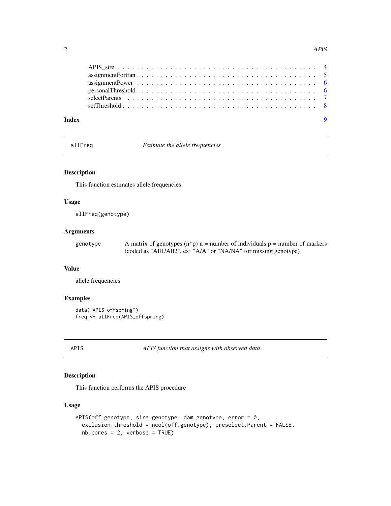<span id="page-1-0"></span>

| Index |  |
|-------|--|

allFreq *Estimate the allele frequencies*

# Description

This function estimates allele frequencies

#### Usage

allFreq(genotype)

# Arguments

genotype A matrix of genotypes  $(n*p)$  n = number of individuals p = number of markers (coded as "All1/All2", ex: "A/A" or "NA/NA" for missing genotype)

# Value

allele frequencies

# Examples

```
data("APIS_offspring")
freq <- allFreq(APIS_offspring)
```
APIS *APIS function that assigns with observed data*

# Description

This function performs the APIS procedure

### Usage

```
APIS(off.genotype, sire.genotype, dam.genotype, error = 0,
  exclusion.threshold = ncol(off.genotype), preselect.Parent = FALSE,
 nb.cores = 2, verbose = TRUE)
```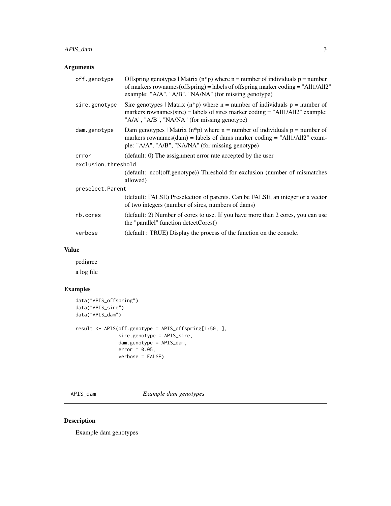# <span id="page-2-0"></span>APIS\_dam 3

# Arguments

| off.genotype        | Offspring genotypes   Matrix $(n * p)$ where n = number of individuals p = number<br>of markers rownames (offspring) = labels of offspring marker coding = "All1/All2"<br>example: "A/A", "A/B", "NA/NA" (for missing genotype) |
|---------------------|---------------------------------------------------------------------------------------------------------------------------------------------------------------------------------------------------------------------------------|
| sire.genotype       | Sire genotypes   Matrix (n*p) where $n =$ number of individuals $p =$ number of<br>markers rownames(sire) = labels of sires marker coding = "All1/All2" example:<br>"A/A", "A/B", "NA/NA" (for missing genotype)                |
| dam.genotype        | Dam genotypes   Matrix $(n * p)$ where n = number of individuals p = number of<br>markers rownames(dam) = labels of dams marker coding = "All1/All2" exam-<br>ple: "A/A", "A/B", "NA/NA" (for missing genotype)                 |
| error               | (default: 0) The assignment error rate accepted by the user                                                                                                                                                                     |
| exclusion.threshold |                                                                                                                                                                                                                                 |
|                     | (default: ncol(off.genotype)) Threshold for exclusion (number of mismatches<br>allowed)                                                                                                                                         |
| preselect. Parent   |                                                                                                                                                                                                                                 |
|                     | (default: FALSE) Preselection of parents. Can be FALSE, an integer or a vector<br>of two integers (number of sires, numbers of dams)                                                                                            |
| nb.cores            | (default: 2) Number of cores to use. If you have more than 2 cores, you can use<br>the "parallel" function detectCores()                                                                                                        |
| verbose             | (default: TRUE) Display the process of the function on the console.                                                                                                                                                             |
|                     |                                                                                                                                                                                                                                 |

# Value

pedigree a log file

# Examples

```
data("APIS_offspring")
data("APIS_sire")
data("APIS_dam")
result <- APIS(off.genotype = APIS_offspring[1:50, ],
               sire.genotype = APIS_sire,
               dam.genotype = APIS_dam,
               error = 0.05,
               verbose = FALSE)
```
APIS\_dam *Example dam genotypes*

# Description

Example dam genotypes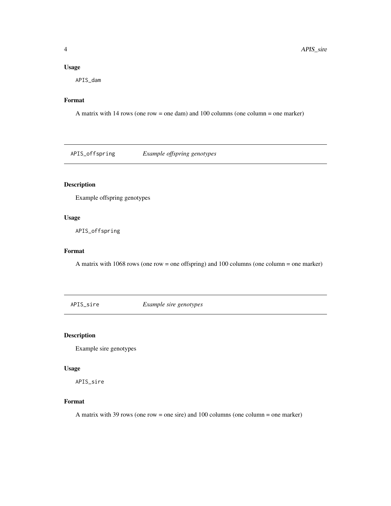#### <span id="page-3-0"></span>Usage

APIS\_dam

#### Format

A matrix with 14 rows (one row = one dam) and 100 columns (one column = one marker)

APIS\_offspring *Example offspring genotypes*

# Description

Example offspring genotypes

# Usage

APIS\_offspring

# Format

A matrix with 1068 rows (one row = one offspring) and 100 columns (one column = one marker)

APIS\_sire *Example sire genotypes*

#### Description

Example sire genotypes

# Usage

APIS\_sire

#### Format

A matrix with 39 rows (one row = one sire) and 100 columns (one column = one marker)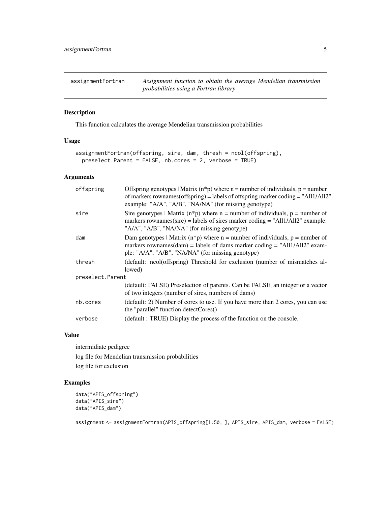<span id="page-4-0"></span>assignmentFortran *Assignment function to obtain the average Mendelian transmission probabilities using a Fortran library*

# Description

This function calculates the average Mendelian transmission probabilities

# Usage

```
assignmentFortran(offspring, sire, dam, thresh = ncol(offspring),
 preselect.Parent = FALSE, nb.cores = 2, verbose = TRUE)
```
#### Arguments

| offspring         | Offspring genotypes   Matrix $(n * p)$ where n = number of individuals, p = number<br>of markers rownames (offspring) = labels of offspring marker coding = "All1/All2"<br>example: "A/A", "A/B", "NA/NA" (for missing genotype) |  |  |  |  |  |
|-------------------|----------------------------------------------------------------------------------------------------------------------------------------------------------------------------------------------------------------------------------|--|--|--|--|--|
| sire              | Sire genotypes   Matrix $(n * p)$ where $n =$ number of individuals, $p =$ number of<br>markers rownames(sire) = labels of sires marker coding = "All1/All2" example:<br>"A/A", "A/B", "NA/NA" (for missing genotype)            |  |  |  |  |  |
| dam               | Dam genotypes   Matrix $(n * p)$ where n = number of individuals, p = number of<br>markers rownames(dam) = labels of dams marker coding = "All1/All2" exam-<br>ple: "A/A", "A/B", "NA/NA" (for missing genotype)                 |  |  |  |  |  |
| thresh            | (default: ncol(offspring) Threshold for exclusion (number of mismatches al-<br>lowed)                                                                                                                                            |  |  |  |  |  |
| preselect. Parent |                                                                                                                                                                                                                                  |  |  |  |  |  |
|                   | (default: FALSE) Preselection of parents. Can be FALSE, an integer or a vector<br>of two integers (number of sires, numbers of dams)                                                                                             |  |  |  |  |  |
| nb.cores          | (default: 2) Number of cores to use. If you have more than 2 cores, you can use<br>the "parallel" function detectCores()                                                                                                         |  |  |  |  |  |
| verbose           | (default: TRUE) Display the process of the function on the console.                                                                                                                                                              |  |  |  |  |  |

#### Value

intermidiate pedigree

log file for Mendelian transmission probabilities log file for exclusion

# Examples

```
data("APIS_offspring")
data("APIS_sire")
data("APIS_dam")
```
assignment <- assignmentFortran(APIS\_offspring[1:50, ], APIS\_sire, APIS\_dam, verbose = FALSE)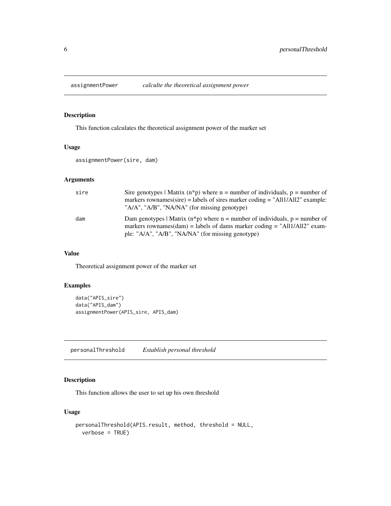<span id="page-5-0"></span>

# Description

This function calculates the theoretical assignment power of the marker set

# Usage

assignmentPower(sire, dam)

#### Arguments

| sire | Sire genotypes   Matrix $(n * p)$ where $n =$ number of individuals, $p =$ number of<br>markers rownames (sire) = labels of sires marker coding = " $\text{All/All2}$ " example:<br>"A/A", "A/B", "NA/NA" (for missing genotype) |
|------|----------------------------------------------------------------------------------------------------------------------------------------------------------------------------------------------------------------------------------|
| dam  | Dam genotypes   Matrix $(n * p)$ where n = number of individuals, p = number of<br>markers rownames(dam) = labels of dams marker coding = "All1/All2" exam-<br>ple: "A/A", "A/B", "NA/NA" (for missing genotype)                 |

#### Value

Theoretical assignment power of the marker set

### Examples

```
data("APIS_sire")
data("APIS_dam")
assignmentPower(APIS_sire, APIS_dam)
```
personalThreshold *Establish personal threshold*

# Description

This function allows the user to set up his own threshold

### Usage

```
personalThreshold(APIS.result, method, threshold = NULL,
 verbose = TRUE)
```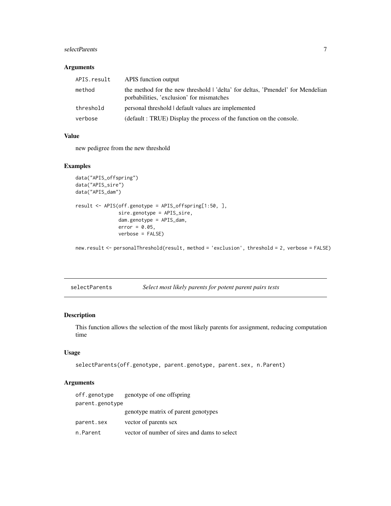# <span id="page-6-0"></span>selectParents 7

#### Arguments

| APIS.result | APIS function output                                                                                                        |
|-------------|-----------------------------------------------------------------------------------------------------------------------------|
| method      | the method for the new threshold   'delta' for deltas, 'Pmendel' for Mendelian<br>porbabilities, 'exclusion' for mismatches |
| threshold   | personal threshold   default values are implemented                                                                         |
| verbose     | (default: TRUE) Display the process of the function on the console.                                                         |

#### Value

new pedigree from the new threshold

#### Examples

```
data("APIS_offspring")
data("APIS_sire")
data("APIS_dam")
result <- APIS(off.genotype = APIS_offspring[1:50, ],
               sire.genotype = APIS_sire,
               dam.genotype = APIS_dam,
               error = 0.05,
               verbose = FALSE)
```
new.result <- personalThreshold(result, method = 'exclusion', threshold = 2, verbose = FALSE)

| selectParents |  | Select most likely parents for potent parent pairs tests |
|---------------|--|----------------------------------------------------------|
|               |  |                                                          |

# Description

This function allows the selection of the most likely parents for assignment, reducing computation time

#### Usage

```
selectParents(off.genotype, parent.genotype, parent.sex, n.Parent)
```
# Arguments

| off.genotype    | genotype of one offspring                    |
|-----------------|----------------------------------------------|
| parent.genotype |                                              |
|                 | genotype matrix of parent genotypes          |
| parent.sex      | vector of parents sex                        |
| n.Parent        | vector of number of sires and dams to select |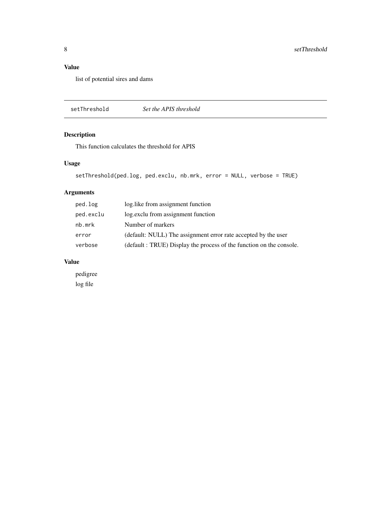# <span id="page-7-0"></span>Value

list of potential sires and dams

setThreshold *Set the APIS threshold*

# Description

This function calculates the threshold for APIS

# Usage

```
setThreshold(ped.log, ped.exclu, nb.mrk, error = NULL, verbose = TRUE)
```
# Arguments

| ped.log   | log.like from assignment function                                   |
|-----------|---------------------------------------------------------------------|
| ped.exclu | log.exclu from assignment function                                  |
| nb.mrk    | Number of markers                                                   |
| error     | (default: NULL) The assignment error rate accepted by the user      |
| verbose   | (default: TRUE) Display the process of the function on the console. |
|           |                                                                     |

# Value

pedigree log file